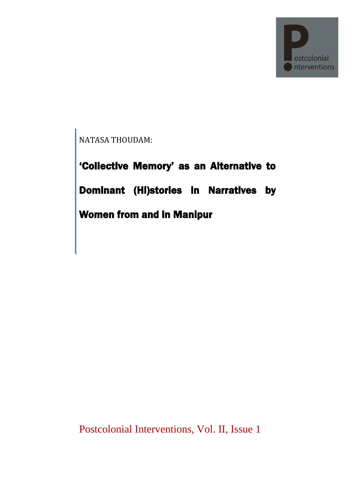

NATASA THOUDAM:

'Collective Memory' as an Alternative to Dominant (Hi)stories in Narratives by Women from and in Manipur

Postcolonial Interventions, Vol. II, Issue 1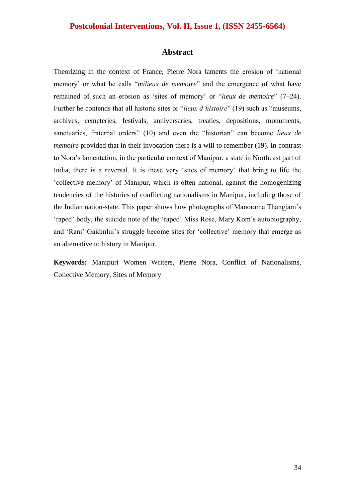#### **Abstract**

Theorizing in the context of France, Pierre Nora laments the erosion of 'national memory' or what he calls "*milieux de memoire*" and the emergence of what have remained of such an erosion as 'sites of memory' or "*lieux de memoire*" (7–24). Further he contends that all historic sites or *"lieux d'histoire"* (19) such as "museums, archives, cemeteries, festivals, anniversaries, treaties, depositions, monuments, sanctuaries, fraternal orders<sup></sup> (10) and even the "historian" can become *lieux de memoire* provided that in their invocation there is a will to remember (19). In contrast to Nora's lamentation, in the particular context of Manipur, a state in Northeast part of India, there is a reversal. It is these very 'sites of memory' that bring to life the ‗collective memory' of Manipur, which is often national, against the homogenizing tendencies of the histories of conflicting nationalisms in Manipur, including those of the Indian nation-state. This paper shows how photographs of Manorama Thangjam's ‗raped' body, the suicide note of the ‗raped' Miss Rose, Mary Kom's autobiography, and 'Rani' Gaidinlui's struggle become sites for 'collective' memory that emerge as an alternative to history in Manipur.

**Keywords:** Manipuri Women Writers, Pierre Nora, Conflict of Nationalisms, Collective Memory, Sites of Memory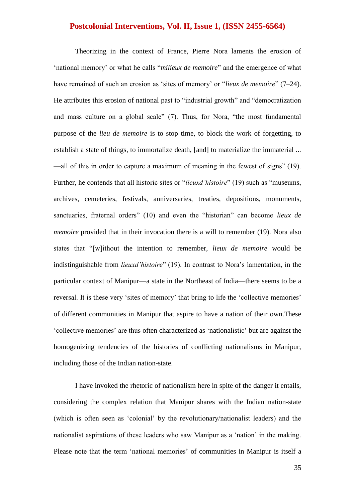Theorizing in the context of France, Pierre Nora laments the erosion of 'national memory' or what he calls "*milieux de memoire*" and the emergence of what have remained of such an erosion as 'sites of memory' or "*lieux de memoire*" (7–24). He attributes this erosion of national past to "industrial growth" and "democratization and mass culture on a global scale" (7). Thus, for Nora, "the most fundamental purpose of the *lieu de memoire* is to stop time, to block the work of forgetting, to establish a state of things, to immortalize death, [and] to materialize the immaterial ... —all of this in order to capture a maximum of meaning in the fewest of signs" (19). Further, he contends that all historic sites or "*lieuxd'histoire*" (19) such as "museums, archives, cemeteries, festivals, anniversaries, treaties, depositions, monuments, sanctuaries, fraternal orders<sup></sup> (10) and even the "historian" can become *lieux de memoire* provided that in their invocation there is a will to remember (19). Nora also states that "[w]ithout the intention to remember, *lieux de memoire* would be indistinguishable from *lieuxd'histoire*" (19). In contrast to Nora's lamentation, in the particular context of Manipur—a state in the Northeast of India—there seems to be a reversal. It is these very 'sites of memory' that bring to life the 'collective memories' of different communities in Manipur that aspire to have a nation of their own.These ‗collective memories' are thus often characterized as ‗nationalistic' but are against the homogenizing tendencies of the histories of conflicting nationalisms in Manipur, including those of the Indian nation-state.

I have invoked the rhetoric of nationalism here in spite of the danger it entails, considering the complex relation that Manipur shares with the Indian nation-state (which is often seen as 'colonial' by the revolutionary/nationalist leaders) and the nationalist aspirations of these leaders who saw Manipur as a 'nation' in the making. Please note that the term 'national memories' of communities in Manipur is itself a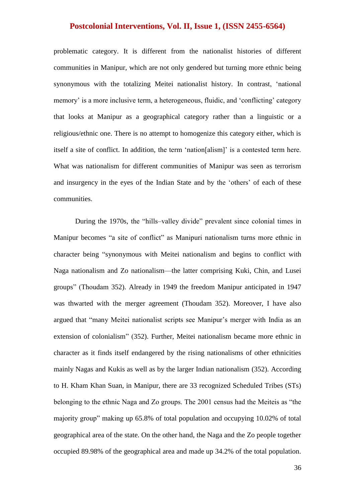problematic category. It is different from the nationalist histories of different communities in Manipur, which are not only gendered but turning more ethnic being synonymous with the totalizing Meitei nationalist history. In contrast, 'national memory' is a more inclusive term, a heterogeneous, fluidic, and 'conflicting' category that looks at Manipur as a geographical category rather than a linguistic or a religious/ethnic one. There is no attempt to homogenize this category either, which is itself a site of conflict. In addition, the term 'nation[alism]' is a contested term here. What was nationalism for different communities of Manipur was seen as terrorism and insurgency in the eyes of the Indian State and by the 'others' of each of these communities.

During the 1970s, the "hills-valley divide" prevalent since colonial times in Manipur becomes "a site of conflict" as Manipuri nationalism turns more ethnic in character being "synonymous with Meitei nationalism and begins to conflict with Naga nationalism and Zo nationalism—the latter comprising Kuki, Chin, and Lusei groups" (Thoudam 352). Already in 1949 the freedom Manipur anticipated in 1947 was thwarted with the merger agreement (Thoudam 352). Moreover, I have also argued that "many Meitei nationalist scripts see Manipur's merger with India as an extension of colonialism" (352). Further, Meitei nationalism became more ethnic in character as it finds itself endangered by the rising nationalisms of other ethnicities mainly Nagas and Kukis as well as by the larger Indian nationalism (352). According to H. Kham Khan Suan, in Manipur, there are 33 recognized Scheduled Tribes (STs) belonging to the ethnic Naga and Zo groups. The 2001 census had the Meiteis as "the majority group" making up 65.8% of total population and occupying 10.02% of total geographical area of the state. On the other hand, the Naga and the Zo people together occupied 89.98% of the geographical area and made up 34.2% of the total population.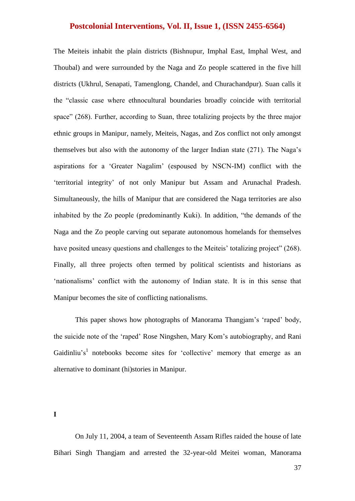The Meiteis inhabit the plain districts (Bishnupur, Imphal East, Imphal West, and Thoubal) and were surrounded by the Naga and Zo people scattered in the five hill districts (Ukhrul, Senapati, Tamenglong, Chandel, and Churachandpur). Suan calls it the "classic case where ethnocultural boundaries broadly coincide with territorial space" (268). Further, according to Suan, three totalizing projects by the three major ethnic groups in Manipur, namely, Meiteis, Nagas, and Zos conflict not only amongst themselves but also with the autonomy of the larger Indian state (271). The Naga's aspirations for a ‗Greater Nagalim' (espoused by NSCN-IM) conflict with the ‗territorial integrity' of not only Manipur but Assam and Arunachal Pradesh. Simultaneously, the hills of Manipur that are considered the Naga territories are also inhabited by the Zo people (predominantly Kuki). In addition, "the demands of the Naga and the Zo people carving out separate autonomous homelands for themselves have posited uneasy questions and challenges to the Meiteis' totalizing project" (268). Finally, all three projects often termed by political scientists and historians as ‗nationalisms' conflict with the autonomy of Indian state. It is in this sense that Manipur becomes the site of conflicting nationalisms.

This paper shows how photographs of Manorama Thangjam's 'raped' body, the suicide note of the 'raped' Rose Ningshen, Mary Kom's autobiography, and Rani Gaidinliu's<sup>1</sup> notebooks become sites for 'collective' memory that emerge as an alternative to dominant (hi)stories in Manipur.

**I**

On July 11, 2004, a team of Seventeenth Assam Rifles raided the house of late Bihari Singh Thangjam and arrested the 32-year-old Meitei woman, Manorama

37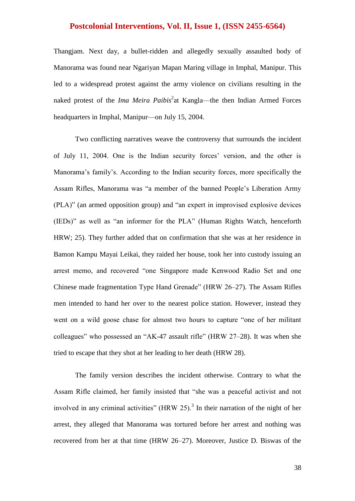Thangjam. Next day, a bullet-ridden and allegedly sexually assaulted body of Manorama was found near Ngariyan Mapan Maring village in Imphal, Manipur. This led to a widespread protest against the army violence on civilians resulting in the naked protest of the *Ima Meira Paibis*<sup>2</sup> at Kangla—the then Indian Armed Forces headquarters in Imphal, Manipur—on July 15, 2004.

Two conflicting narratives weave the controversy that surrounds the incident of July 11, 2004. One is the Indian security forces' version, and the other is Manorama's family's. According to the Indian security forces, more specifically the Assam Rifles, Manorama was "a member of the banned People's Liberation Army  $(PLAN)$ " (an armed opposition group) and "an expert in improvised explosive devices  $(IEDs)$ " as well as "an informer for the PLA" (Human Rights Watch, henceforth HRW; 25). They further added that on confirmation that she was at her residence in Bamon Kampu Mayai Leikai, they raided her house, took her into custody issuing an arrest memo, and recovered "one Singapore made Kenwood Radio Set and one Chinese made fragmentation Type Hand Grenade" (HRW 26–27). The Assam Rifles men intended to hand her over to the nearest police station. However, instead they went on a wild goose chase for almost two hours to capture "one of her militant colleagues" who possessed an "AK-47 assault rifle" (HRW 27–28). It was when she tried to escape that they shot at her leading to her death (HRW 28).

The family version describes the incident otherwise. Contrary to what the Assam Rifle claimed, her family insisted that "she was a peaceful activist and not involved in any criminal activities" (HRW 25).<sup>3</sup> In their narration of the night of her arrest, they alleged that Manorama was tortured before her arrest and nothing was recovered from her at that time (HRW 26–27). Moreover, Justice D. Biswas of the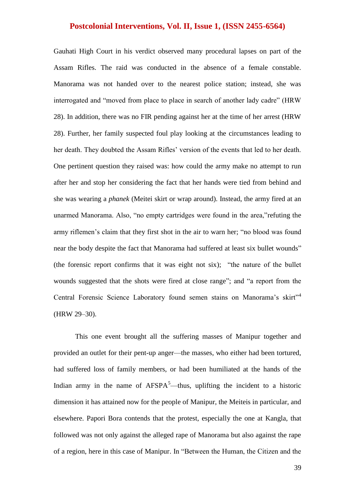Gauhati High Court in his verdict observed many procedural lapses on part of the Assam Rifles. The raid was conducted in the absence of a female constable. Manorama was not handed over to the nearest police station; instead, she was interrogated and "moved from place to place in search of another lady cadre" (HRW 28). In addition, there was no FIR pending against her at the time of her arrest (HRW 28). Further, her family suspected foul play looking at the circumstances leading to her death. They doubted the Assam Rifles' version of the events that led to her death. One pertinent question they raised was: how could the army make no attempt to run after her and stop her considering the fact that her hands were tied from behind and she was wearing a *phanek* (Meitei skirt or wrap around). Instead, the army fired at an unarmed Manorama. Also, "no empty cartridges were found in the area,"refuting the army riflemen's claim that they first shot in the air to warn her; "no blood was found near the body despite the fact that Manorama had suffered at least six bullet wounds" (the forensic report confirms that it was eight not six); "the nature of the bullet wounds suggested that the shots were fired at close range"; and "a report from the Central Forensic Science Laboratory found semen stains on Manorama's skirt"<sup>4</sup> (HRW 29–30).

This one event brought all the suffering masses of Manipur together and provided an outlet for their pent-up anger—the masses, who either had been tortured, had suffered loss of family members, or had been humiliated at the hands of the Indian army in the name of  $AFSPA<sup>5</sup>$ —thus, uplifting the incident to a historic dimension it has attained now for the people of Manipur, the Meiteis in particular, and elsewhere. Papori Bora contends that the protest, especially the one at Kangla, that followed was not only against the alleged rape of Manorama but also against the rape of a region, here in this case of Manipur. In "Between the Human, the Citizen and the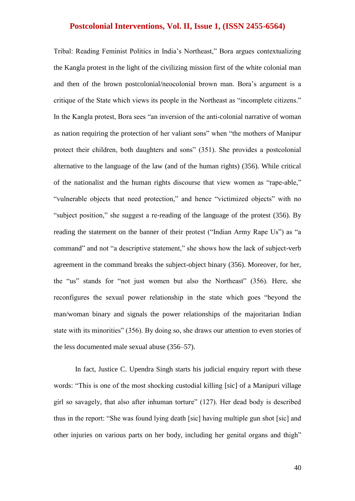Tribal: Reading Feminist Politics in India's Northeast," Bora argues contextualizing the Kangla protest in the light of the civilizing mission first of the white colonial man and then of the brown postcolonial/neocolonial brown man. Bora's argument is a critique of the State which views its people in the Northeast as "incomplete citizens." In the Kangla protest, Bora sees "an inversion of the anti-colonial narrative of woman as nation requiring the protection of her valiant sons" when "the mothers of Manipur protect their children, both daughters and sons" (351). She provides a postcolonial alternative to the language of the law (and of the human rights) (356). While critical of the nationalist and the human rights discourse that view women as "rape-able," "vulnerable objects that need protection," and hence "victimized objects" with no "subject position," she suggest a re-reading of the language of the protest  $(356)$ . By reading the statement on the banner of their protest ("Indian Army Rape Us") as "a command" and not "a descriptive statement," she shows how the lack of subject-verb agreement in the command breaks the subject-object binary (356). Moreover, for her, the "us" stands for "not just women but also the Northeast" (356). Here, she reconfigures the sexual power relationship in the state which goes "beyond the man/woman binary and signals the power relationships of the majoritarian Indian state with its minorities" (356). By doing so, she draws our attention to even stories of the less documented male sexual abuse (356–57).

In fact, Justice C. Upendra Singh starts his judicial enquiry report with these words: "This is one of the most shocking custodial killing [sic] of a Manipuri village girl so savagely, that also after inhuman torture"  $(127)$ . Her dead body is described thus in the report: "She was found lying death [sic] having multiple gun shot [sic] and other injuries on various parts on her body, including her genital organs and thigh"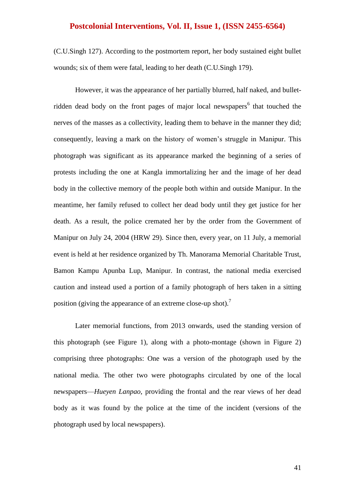(C.U.Singh 127). According to the postmortem report, her body sustained eight bullet wounds; six of them were fatal, leading to her death (C.U.Singh 179).

However, it was the appearance of her partially blurred, half naked, and bulletridden dead body on the front pages of major local newspapers<sup>6</sup> that touched the nerves of the masses as a collectivity, leading them to behave in the manner they did; consequently, leaving a mark on the history of women's struggle in Manipur. This photograph was significant as its appearance marked the beginning of a series of protests including the one at Kangla immortalizing her and the image of her dead body in the collective memory of the people both within and outside Manipur. In the meantime, her family refused to collect her dead body until they get justice for her death. As a result, the police cremated her by the order from the Government of Manipur on July 24, 2004 (HRW 29). Since then, every year, on 11 July, a memorial event is held at her residence organized by Th. Manorama Memorial Charitable Trust, Bamon Kampu Apunba Lup, Manipur. In contrast, the national media exercised caution and instead used a portion of a family photograph of hers taken in a sitting position (giving the appearance of an extreme close-up shot).<sup>7</sup>

Later memorial functions, from 2013 onwards, used the standing version of this photograph (see Figure 1), along with a photo-montage (shown in Figure 2) comprising three photographs: One was a version of the photograph used by the national media. The other two were photographs circulated by one of the local newspapers—*Hueyen Lanpao*, providing the frontal and the rear views of her dead body as it was found by the police at the time of the incident (versions of the photograph used by local newspapers).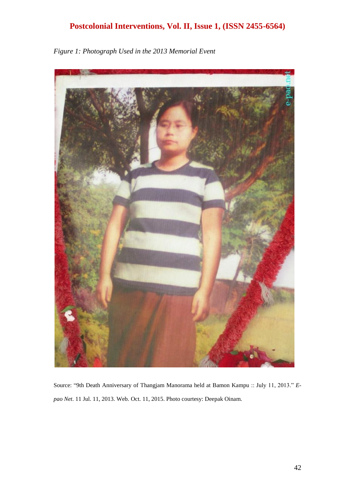

*Figure 1: Photograph Used in the 2013 Memorial Event*

Source: "9th Death Anniversary of Thangjam Manorama held at Bamon Kampu :: July 11, 2013." E*pao Net*. 11 Jul. 11, 2013. Web. Oct. 11, 2015. Photo courtesy: Deepak Oinam.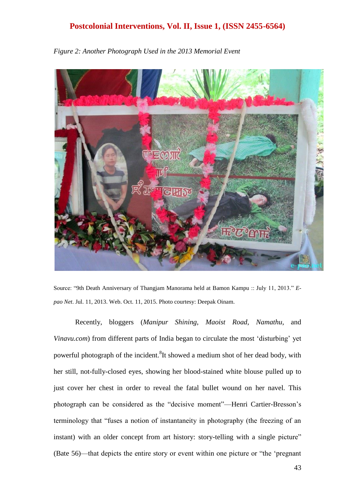

*Figure 2: Another Photograph Used in the 2013 Memorial Event*

Source: "9th Death Anniversary of Thangjam Manorama held at Bamon Kampu :: July 11, 2013." *Epao Net*. Jul. 11, 2013. Web. Oct. 11, 2015. Photo courtesy: Deepak Oinam.

Recently, bloggers (*Manipur Shining*, *Maoist Road*, *Namathu*, and *Vinavu.com*) from different parts of India began to circulate the most 'disturbing' vet powerful photograph of the incident.<sup>8</sup>It showed a medium shot of her dead body, with her still, not-fully-closed eyes, showing her blood-stained white blouse pulled up to just cover her chest in order to reveal the fatal bullet wound on her navel. This photograph can be considered as the "decisive moment"—Henri Cartier-Bresson's terminology that "fuses a notion of instantaneity in photography (the freezing of an instant) with an older concept from art history: story-telling with a single picture" (Bate 56)—that depicts the entire story or event within one picture or "the 'pregnant"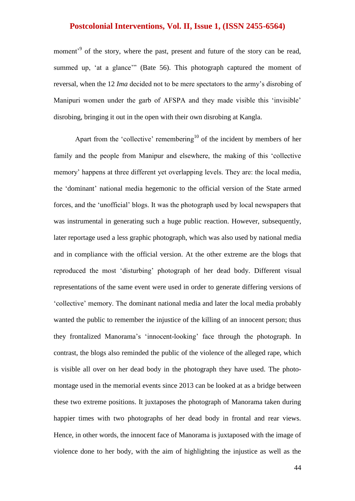moment<sup>39</sup> of the story, where the past, present and future of the story can be read, summed up, 'at a glance'" (Bate 56). This photograph captured the moment of reversal, when the 12 *Ima* decided not to be mere spectators to the army's disrobing of Manipuri women under the garb of AFSPA and they made visible this 'invisible' disrobing, bringing it out in the open with their own disrobing at Kangla.

Apart from the 'collective' remembering<sup>10</sup> of the incident by members of her family and the people from Manipur and elsewhere, the making of this 'collective memory' happens at three different yet overlapping levels. They are: the local media, the ‗dominant' national media hegemonic to the official version of the State armed forces, and the ‗unofficial' blogs. It was the photograph used by local newspapers that was instrumental in generating such a huge public reaction. However, subsequently, later reportage used a less graphic photograph, which was also used by national media and in compliance with the official version. At the other extreme are the blogs that reproduced the most 'disturbing' photograph of her dead body. Different visual representations of the same event were used in order to generate differing versions of ‗collective' memory. The dominant national media and later the local media probably wanted the public to remember the injustice of the killing of an innocent person; thus they frontalized Manorama's ‗innocent-looking' face through the photograph. In contrast, the blogs also reminded the public of the violence of the alleged rape, which is visible all over on her dead body in the photograph they have used. The photomontage used in the memorial events since 2013 can be looked at as a bridge between these two extreme positions. It juxtaposes the photograph of Manorama taken during happier times with two photographs of her dead body in frontal and rear views. Hence, in other words, the innocent face of Manorama is juxtaposed with the image of violence done to her body, with the aim of highlighting the injustice as well as the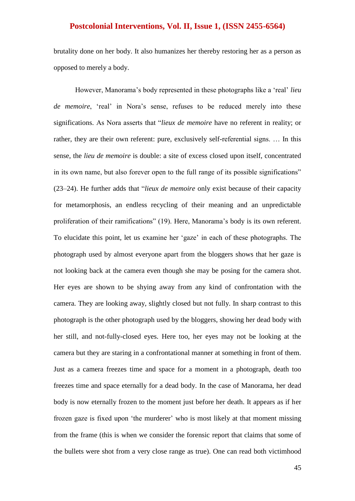brutality done on her body. It also humanizes her thereby restoring her as a person as opposed to merely a body.

However, Manorama's body represented in these photographs like a 'real' *lieu de memoire*, 'real' in Nora's sense, refuses to be reduced merely into these significations. As Nora asserts that "*lieux de memoire* have no referent in reality; or rather, they are their own referent: pure, exclusively self-referential signs. … In this sense, the *lieu de memoire* is double: a site of excess closed upon itself, concentrated in its own name, but also forever open to the full range of its possible significations" (23–24). He further adds that "*lieux de memoire* only exist because of their capacity for metamorphosis, an endless recycling of their meaning and an unpredictable proliferation of their ramifications" (19). Here, Manorama's body is its own referent. To elucidate this point, let us examine her 'gaze' in each of these photographs. The photograph used by almost everyone apart from the bloggers shows that her gaze is not looking back at the camera even though she may be posing for the camera shot. Her eyes are shown to be shying away from any kind of confrontation with the camera. They are looking away, slightly closed but not fully. In sharp contrast to this photograph is the other photograph used by the bloggers, showing her dead body with her still, and not-fully-closed eyes. Here too, her eyes may not be looking at the camera but they are staring in a confrontational manner at something in front of them. Just as a camera freezes time and space for a moment in a photograph, death too freezes time and space eternally for a dead body. In the case of Manorama, her dead body is now eternally frozen to the moment just before her death. It appears as if her frozen gaze is fixed upon 'the murderer' who is most likely at that moment missing from the frame (this is when we consider the forensic report that claims that some of the bullets were shot from a very close range as true). One can read both victimhood

45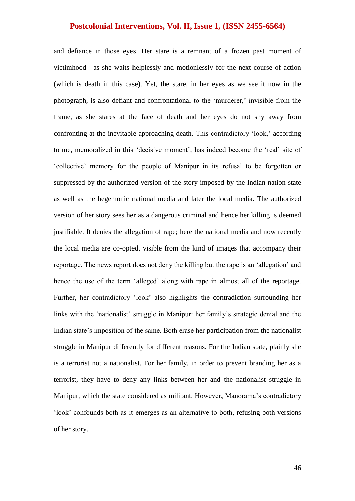and defiance in those eyes. Her stare is a remnant of a frozen past moment of victimhood—as she waits helplessly and motionlessly for the next course of action (which is death in this case). Yet, the stare, in her eyes as we see it now in the photograph, is also defiant and confrontational to the 'murderer,' invisible from the frame, as she stares at the face of death and her eyes do not shy away from confronting at the inevitable approaching death. This contradictory 'look,' according to me, memoralized in this 'decisive moment', has indeed become the 'real' site of ‗collective' memory for the people of Manipur in its refusal to be forgotten or suppressed by the authorized version of the story imposed by the Indian nation-state as well as the hegemonic national media and later the local media. The authorized version of her story sees her as a dangerous criminal and hence her killing is deemed justifiable. It denies the allegation of rape; here the national media and now recently the local media are co-opted, visible from the kind of images that accompany their reportage. The news report does not deny the killing but the rape is an 'allegation' and hence the use of the term 'alleged' along with rape in almost all of the reportage. Further, her contradictory 'look' also highlights the contradiction surrounding her links with the 'nationalist' struggle in Manipur: her family's strategic denial and the Indian state's imposition of the same. Both erase her participation from the nationalist struggle in Manipur differently for different reasons. For the Indian state, plainly she is a terrorist not a nationalist. For her family, in order to prevent branding her as a terrorist, they have to deny any links between her and the nationalist struggle in Manipur, which the state considered as militant. However, Manorama's contradictory ‗look' confounds both as it emerges as an alternative to both, refusing both versions of her story.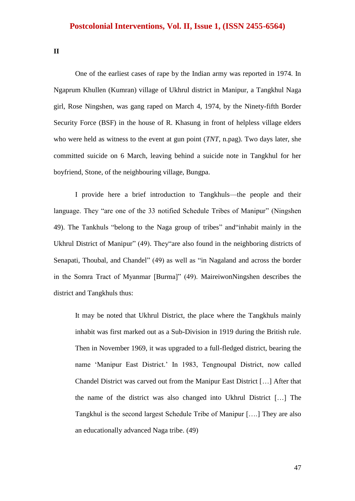**II**

One of the earliest cases of rape by the Indian army was reported in 1974. In Ngaprum Khullen (Kumran) village of Ukhrul district in Manipur, a Tangkhul Naga girl, Rose Ningshen, was gang raped on March 4, 1974, by the Ninety-fifth Border Security Force (BSF) in the house of R. Khasung in front of helpless village elders who were held as witness to the event at gun point (*TNT*, n.pag). Two days later, she committed suicide on 6 March, leaving behind a suicide note in Tangkhul for her boyfriend, Stone, of the neighbouring village, Bungpa.

I provide here a brief introduction to Tangkhuls—the people and their language. They "are one of the 33 notified Schedule Tribes of Manipur" (Ningshen 49). The Tankhuls "belong to the Naga group of tribes" and "inhabit mainly in the Ukhrul District of Manipur" (49). They are also found in the neighboring districts of Senapati, Thoubal, and Chandel" (49) as well as "in Nagaland and across the border in the Somra Tract of Myanmar [Burma]" (49). MaireiwonNingshen describes the district and Tangkhuls thus:

It may be noted that Ukhrul District, the place where the Tangkhuls mainly inhabit was first marked out as a Sub-Division in 1919 during the British rule. Then in November 1969, it was upgraded to a full-fledged district, bearing the name 'Manipur East District.' In 1983, Tengnoupal District, now called Chandel District was carved out from the Manipur East District […] After that the name of the district was also changed into Ukhrul District […] The Tangkhul is the second largest Schedule Tribe of Manipur [….] They are also an educationally advanced Naga tribe. (49)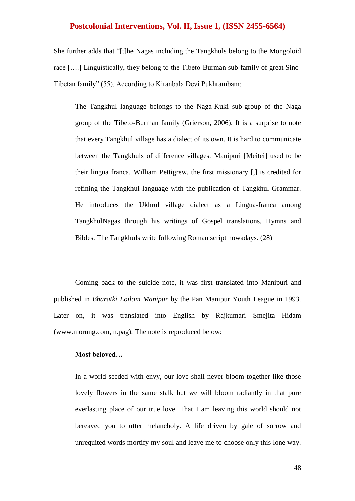She further adds that "[t]he Nagas including the Tangkhuls belong to the Mongoloid race [….] Linguistically, they belong to the Tibeto-Burman sub-family of great Sino-Tibetan family" (55). According to Kiranbala Devi Pukhrambam:

The Tangkhul language belongs to the Naga-Kuki sub-group of the Naga group of the Tibeto-Burman family (Grierson, 2006). It is a surprise to note that every Tangkhul village has a dialect of its own. It is hard to communicate between the Tangkhuls of difference villages. Manipuri [Meitei] used to be their lingua franca. William Pettigrew, the first missionary [,] is credited for refining the Tangkhul language with the publication of Tangkhul Grammar. He introduces the Ukhrul village dialect as a Lingua-franca among TangkhulNagas through his writings of Gospel translations, Hymns and Bibles. The Tangkhuls write following Roman script nowadays. (28)

Coming back to the suicide note, it was first translated into Manipuri and published in *Bharatki Loilam Manipur* by the Pan Manipur Youth League in 1993. Later on, it was translated into English by Rajkumari Smejita Hidam (www.morung.com, n.pag). The note is reproduced below:

#### **Most beloved…**

In a world seeded with envy, our love shall never bloom together like those lovely flowers in the same stalk but we will bloom radiantly in that pure everlasting place of our true love. That I am leaving this world should not bereaved you to utter melancholy. A life driven by gale of sorrow and unrequited words mortify my soul and leave me to choose only this lone way.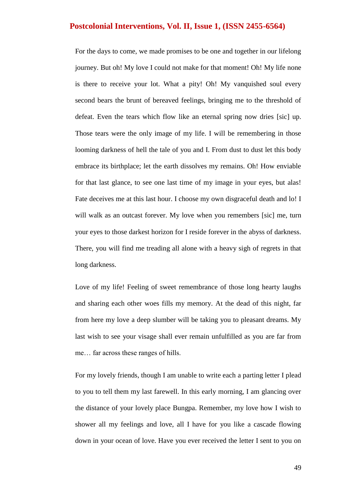For the days to come, we made promises to be one and together in our lifelong journey. But oh! My love I could not make for that moment! Oh! My life none is there to receive your lot. What a pity! Oh! My vanquished soul every second bears the brunt of bereaved feelings, bringing me to the threshold of defeat. Even the tears which flow like an eternal spring now dries [sic] up. Those tears were the only image of my life. I will be remembering in those looming darkness of hell the tale of you and I. From dust to dust let this body embrace its birthplace; let the earth dissolves my remains. Oh! How enviable for that last glance, to see one last time of my image in your eyes, but alas! Fate deceives me at this last hour. I choose my own disgraceful death and lo! I will walk as an outcast forever. My love when you remembers [sic] me, turn your eyes to those darkest horizon for I reside forever in the abyss of darkness. There, you will find me treading all alone with a heavy sigh of regrets in that long darkness.

Love of my life! Feeling of sweet remembrance of those long hearty laughs and sharing each other woes fills my memory. At the dead of this night, far from here my love a deep slumber will be taking you to pleasant dreams. My last wish to see your visage shall ever remain unfulfilled as you are far from me… far across these ranges of hills.

For my lovely friends, though I am unable to write each a parting letter I plead to you to tell them my last farewell. In this early morning, I am glancing over the distance of your lovely place Bungpa. Remember, my love how I wish to shower all my feelings and love, all I have for you like a cascade flowing down in your ocean of love. Have you ever received the letter I sent to you on

49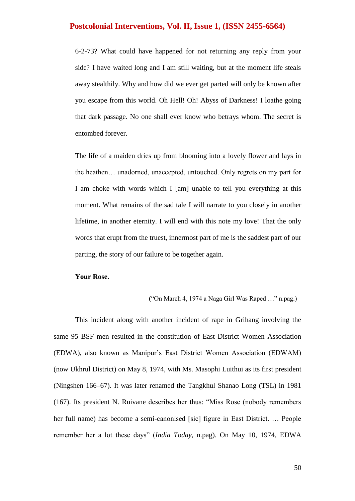6-2-73? What could have happened for not returning any reply from your side? I have waited long and I am still waiting, but at the moment life steals away stealthily. Why and how did we ever get parted will only be known after you escape from this world. Oh Hell! Oh! Abyss of Darkness! I loathe going that dark passage. No one shall ever know who betrays whom. The secret is entombed forever.

The life of a maiden dries up from blooming into a lovely flower and lays in the heathen… unadorned, unaccepted, untouched. Only regrets on my part for I am choke with words which I [am] unable to tell you everything at this moment. What remains of the sad tale I will narrate to you closely in another lifetime, in another eternity. I will end with this note my love! That the only words that erupt from the truest, innermost part of me is the saddest part of our parting, the story of our failure to be together again.

#### **Your Rose.**

#### $("On March 4, 1974 a Naga Girl Was Raned ..." n.paq.)$

This incident along with another incident of rape in Grihang involving the same 95 BSF men resulted in the constitution of East District Women Association (EDWA), also known as Manipur's East District Women Association (EDWAM) (now Ukhrul District) on May 8, 1974, with Ms. Masophi Luithui as its first president (Ningshen 166–67). It was later renamed the Tangkhul Shanao Long (TSL) in 1981 (167). Its president N. Ruivane describes her thus: "Miss Rose (nobody remembers her full name) has become a semi-canonised [sic] figure in East District. … People remember her a lot these days" (*India Today*, n.pag). On May 10, 1974, EDWA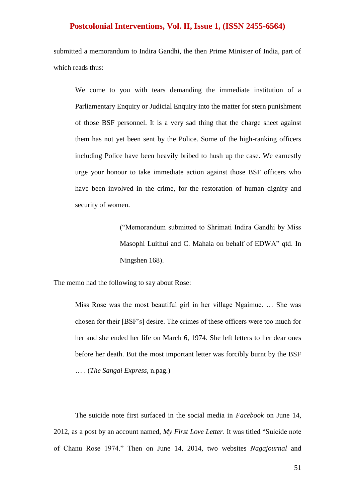submitted a memorandum to Indira Gandhi, the then Prime Minister of India, part of which reads thus:

We come to you with tears demanding the immediate institution of a Parliamentary Enquiry or Judicial Enquiry into the matter for stern punishment of those BSF personnel. It is a very sad thing that the charge sheet against them has not yet been sent by the Police. Some of the high-ranking officers including Police have been heavily bribed to hush up the case. We earnestly urge your honour to take immediate action against those BSF officers who have been involved in the crime, for the restoration of human dignity and security of women.

> (―Memorandum submitted to Shrimati Indira Gandhi by Miss Masophi Luithui and C. Mahala on behalf of EDWA" qtd. In Ningshen 168).

The memo had the following to say about Rose:

Miss Rose was the most beautiful girl in her village Ngaimue. … She was chosen for their [BSF's] desire. The crimes of these officers were too much for her and she ended her life on March 6, 1974. She left letters to her dear ones before her death. But the most important letter was forcibly burnt by the BSF … . (*The Sangai Express*, n.pag.)

The suicide note first surfaced in the social media in *Facebook* on June 14, 2012, as a post by an account named, My First Love Letter. It was titled "Suicide note of Chanu Rose 1974.‖ Then on June 14, 2014, two websites *Nagajournal* and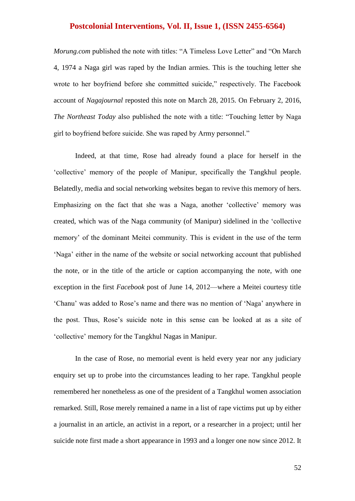*Morung.com* published the note with titles: "A Timeless Love Letter" and "On March" 4, 1974 a Naga girl was raped by the Indian armies. This is the touching letter she wrote to her boyfriend before she committed suicide," respectively. The Facebook account of *Nagajournal* reposted this note on March 28, 2015. On February 2, 2016, *The Northeast Today* also published the note with a title: "Touching letter by Naga girl to boyfriend before suicide. She was raped by Army personnel."

Indeed, at that time, Rose had already found a place for herself in the ‗collective' memory of the people of Manipur, specifically the Tangkhul people. Belatedly, media and social networking websites began to revive this memory of hers. Emphasizing on the fact that she was a Naga, another 'collective' memory was created, which was of the Naga community (of Manipur) sidelined in the 'collective memory' of the dominant Meitei community. This is evident in the use of the term ‗Naga' either in the name of the website or social networking account that published the note, or in the title of the article or caption accompanying the note, with one exception in the first *Facebook* post of June 14, 2012—where a Meitei courtesy title ‗Chanu' was added to Rose's name and there was no mention of ‗Naga' anywhere in the post. Thus, Rose's suicide note in this sense can be looked at as a site of ‗collective' memory for the Tangkhul Nagas in Manipur.

In the case of Rose, no memorial event is held every year nor any judiciary enquiry set up to probe into the circumstances leading to her rape. Tangkhul people remembered her nonetheless as one of the president of a Tangkhul women association remarked. Still, Rose merely remained a name in a list of rape victims put up by either a journalist in an article, an activist in a report, or a researcher in a project; until her suicide note first made a short appearance in 1993 and a longer one now since 2012. It

52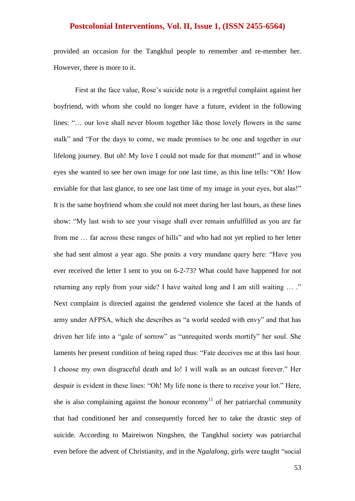provided an occasion for the Tangkhul people to remember and re-member her. However, there is more to it.

First at the face value, Rose's suicide note is a regretful complaint against her boyfriend, with whom she could no longer have a future, evident in the following lines: "... our love shall never bloom together like those lovely flowers in the same stalk" and "For the days to come, we made promises to be one and together in our lifelong journey. But oh! My love I could not made for that moment!" and in whose eyes she wanted to see her own image for one last time, as this line tells: "Oh! How enviable for that last glance, to see one last time of my image in your eyes, but alas!" It is the same boyfriend whom she could not meet during her last hours, as these lines show: "My last wish to see your visage shall ever remain unfulfilled as you are far from me ... far across these ranges of hills" and who had not yet replied to her letter she had sent almost a year ago. She posits a very mundane query here: "Have you ever received the letter I sent to you on 6-2-73? What could have happened for not returning any reply from your side? I have waited long and I am still waiting ... ." Next complaint is directed against the gendered violence she faced at the hands of army under AFPSA, which she describes as "a world seeded with envy" and that has driven her life into a "gale of sorrow" as "unrequited words mortify" her soul. She laments her present condition of being raped thus: "Fate deceives me at this last hour. I choose my own disgraceful death and lo! I will walk as an outcast forever." Her despair is evident in these lines: "Oh! My life none is there to receive your lot." Here, she is also complaining against the honour economy<sup>11</sup> of her patriarchal community that had conditioned her and consequently forced her to take the drastic step of suicide. According to Maireiwon Ningshen, the Tangkhul society was patriarchal even before the advent of Christianity, and in the *Ngalalong*, girls were taught "social"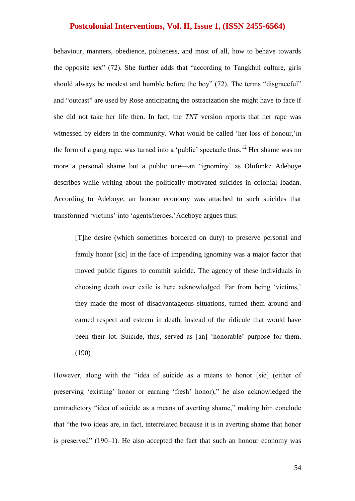behaviour, manners, obedience, politeness, and most of all, how to behave towards the opposite sex"  $(72)$ . She further adds that "according to Tangkhul culture, girls should always be modest and humble before the boy" (72). The terms "disgraceful" and "outcast" are used by Rose anticipating the ostracization she might have to face if she did not take her life then. In fact, the *TNT* version reports that her rape was witnessed by elders in the community. What would be called 'her loss of honour,'in the form of a gang rape, was turned into a 'public' spectacle thus.<sup>12</sup> Her shame was no more a personal shame but a public one—an ‗ignominy' as Olufunke Adeboye describes while writing about the politically motivated suicides in colonial Ibadan. According to Adeboye, an honour economy was attached to such suicides that transformed 'victims' into 'agents/heroes.'Adeboye argues thus:

[T]he desire (which sometimes bordered on duty) to preserve personal and family honor [sic] in the face of impending ignominy was a major factor that moved public figures to commit suicide. The agency of these individuals in choosing death over exile is here acknowledged. Far from being 'victims,' they made the most of disadvantageous situations, turned them around and earned respect and esteem in death, instead of the ridicule that would have been their lot. Suicide, thus, served as [an] 'honorable' purpose for them. (190)

However, along with the "idea of suicide as a means to honor [sic] (either of preserving 'existing' honor or earning 'fresh' honor)," he also acknowledged the contradictory "idea of suicide as a means of averting shame," making him conclude that "the two ideas are, in fact, interrelated because it is in averting shame that honor is preserved"  $(190-1)$ . He also accepted the fact that such an honour economy was

54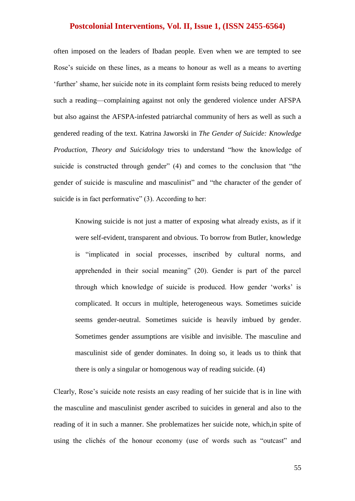often imposed on the leaders of Ibadan people. Even when we are tempted to see Rose's suicide on these lines, as a means to honour as well as a means to averting ‗further' shame, her suicide note in its complaint form resists being reduced to merely such a reading—complaining against not only the gendered violence under AFSPA but also against the AFSPA-infested patriarchal community of hers as well as such a gendered reading of the text. Katrina Jaworski in *The Gender of Suicide: Knowledge Production, Theory and Suicidology* tries to understand "how the knowledge of suicide is constructed through gender"  $(4)$  and comes to the conclusion that "the gender of suicide is masculine and masculinist" and "the character of the gender of suicide is in fact performative"  $(3)$ . According to her:

Knowing suicide is not just a matter of exposing what already exists, as if it were self-evident, transparent and obvious. To borrow from Butler, knowledge is "implicated in social processes, inscribed by cultural norms, and apprehended in their social meaning" (20). Gender is part of the parcel through which knowledge of suicide is produced. How gender 'works' is complicated. It occurs in multiple, heterogeneous ways. Sometimes suicide seems gender-neutral. Sometimes suicide is heavily imbued by gender. Sometimes gender assumptions are visible and invisible. The masculine and masculinist side of gender dominates. In doing so, it leads us to think that there is only a singular or homogenous way of reading suicide. (4)

Clearly, Rose's suicide note resists an easy reading of her suicide that is in line with the masculine and masculinist gender ascribed to suicides in general and also to the reading of it in such a manner. She problematizes her suicide note, which,in spite of using the clichés of the honour economy (use of words such as "outcast" and

55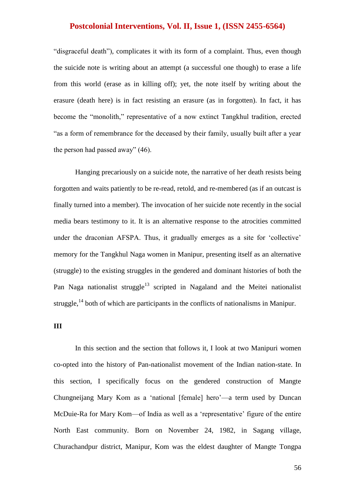"disgraceful death"), complicates it with its form of a complaint. Thus, even though the suicide note is writing about an attempt (a successful one though) to erase a life from this world (erase as in killing off); yet, the note itself by writing about the erasure (death here) is in fact resisting an erasure (as in forgotten). In fact, it has become the "monolith," representative of a now extinct Tangkhul tradition, erected "as a form of remembrance for the deceased by their family, usually built after a year the person had passed away"  $(46)$ .

Hanging precariously on a suicide note, the narrative of her death resists being forgotten and waits patiently to be re-read, retold, and re-membered (as if an outcast is finally turned into a member). The invocation of her suicide note recently in the social media bears testimony to it. It is an alternative response to the atrocities committed under the draconian AFSPA. Thus, it gradually emerges as a site for 'collective' memory for the Tangkhul Naga women in Manipur, presenting itself as an alternative (struggle) to the existing struggles in the gendered and dominant histories of both the Pan Naga nationalist struggle<sup>13</sup> scripted in Nagaland and the Meitei nationalist struggle, $^{14}$  both of which are participants in the conflicts of nationalisms in Manipur.

#### **III**

In this section and the section that follows it, I look at two Manipuri women co-opted into the history of Pan-nationalist movement of the Indian nation-state. In this section, I specifically focus on the gendered construction of Mangte Chungneijang Mary Kom as a 'national [female] hero'—a term used by Duncan McDuie-Ra for Mary Kom—of India as well as a 'representative' figure of the entire North East community. Born on November 24, 1982, in Sagang village, Churachandpur district, Manipur, Kom was the eldest daughter of Mangte Tongpa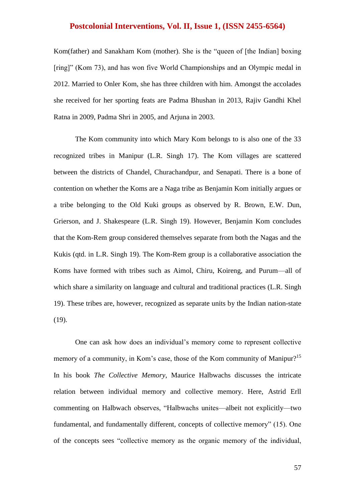Kom(father) and Sanakham Kom (mother). She is the "queen of [the Indian] boxing [ring]" (Kom 73), and has won five World Championships and an Olympic medal in 2012. Married to Onler Kom, she has three children with him. Amongst the accolades she received for her sporting feats are Padma Bhushan in 2013, Rajiv Gandhi Khel Ratna in 2009, Padma Shri in 2005, and Arjuna in 2003.

The Kom community into which Mary Kom belongs to is also one of the 33 recognized tribes in Manipur (L.R. Singh 17). The Kom villages are scattered between the districts of Chandel, Churachandpur, and Senapati. There is a bone of contention on whether the Koms are a Naga tribe as Benjamin Kom initially argues or a tribe belonging to the Old Kuki groups as observed by R. Brown, E.W. Dun, Grierson, and J. Shakespeare (L.R. Singh 19). However, Benjamin Kom concludes that the Kom-Rem group considered themselves separate from both the Nagas and the Kukis (qtd. in L.R. Singh 19). The Kom-Rem group is a collaborative association the Koms have formed with tribes such as Aimol, Chiru, Koireng, and Purum—all of which share a similarity on language and cultural and traditional practices (L.R. Singh 19). These tribes are, however, recognized as separate units by the Indian nation-state (19).

One can ask how does an individual's memory come to represent collective memory of a community, in Kom's case, those of the Kom community of Manipur?<sup>15</sup> In his book *The Collective Memory*, Maurice Halbwachs discusses the intricate relation between individual memory and collective memory. Here, Astrid Erll commenting on Halbwach observes, "Halbwachs unites—albeit not explicitly—two fundamental, and fundamentally different, concepts of collective memory" (15). One of the concepts sees "collective memory as the organic memory of the individual,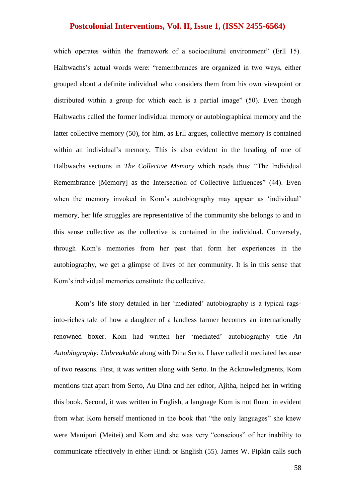which operates within the framework of a sociocultural environment" (Erll 15). Halbwachs's actual words were: "remembrances are organized in two ways, either grouped about a definite individual who considers them from his own viewpoint or distributed within a group for which each is a partial image"  $(50)$ . Even though Halbwachs called the former individual memory or autobiographical memory and the latter collective memory (50), for him, as Erll argues, collective memory is contained within an individual's memory. This is also evident in the heading of one of Halbwachs sections in *The Collective Memory* which reads thus: "The Individual Remembrance [Memory] as the Intersection of Collective Influences" (44). Even when the memory invoked in Kom's autobiography may appear as 'individual' memory, her life struggles are representative of the community she belongs to and in this sense collective as the collective is contained in the individual. Conversely, through Kom's memories from her past that form her experiences in the autobiography, we get a glimpse of lives of her community. It is in this sense that Kom's individual memories constitute the collective.

Kom's life story detailed in her 'mediated' autobiography is a typical ragsinto-riches tale of how a daughter of a landless farmer becomes an internationally renowned boxer. Kom had written her ‗mediated' autobiography title *An Autobiography: Unbreakable* along with Dina Serto. I have called it mediated because of two reasons. First, it was written along with Serto. In the Acknowledgments, Kom mentions that apart from Serto, Au Dina and her editor, Ajitha, helped her in writing this book. Second, it was written in English, a language Kom is not fluent in evident from what Kom herself mentioned in the book that "the only languages" she knew were Manipuri (Meitei) and Kom and she was very "conscious" of her inability to communicate effectively in either Hindi or English (55). James W. Pipkin calls such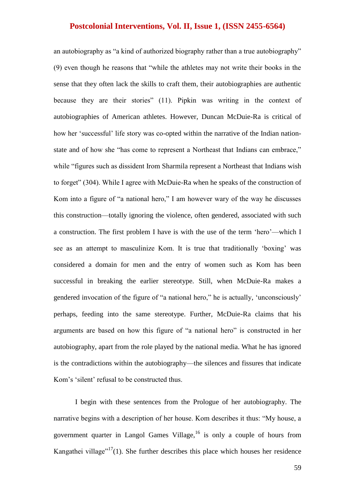an autobiography as "a kind of authorized biography rather than a true autobiography"  $(9)$  even though he reasons that "while the athletes may not write their books in the sense that they often lack the skills to craft them, their autobiographies are authentic because they are their stories" (11). Pipkin was writing in the context of autobiographies of American athletes. However, Duncan McDuie-Ra is critical of how her 'successful' life story was co-opted within the narrative of the Indian nationstate and of how she "has come to represent a Northeast that Indians can embrace," while "figures such as dissident Irom Sharmila represent a Northeast that Indians wish to forget" (304). While I agree with McDuie-Ra when he speaks of the construction of Kom into a figure of "a national hero," I am however wary of the way he discusses this construction—totally ignoring the violence, often gendered, associated with such a construction. The first problem I have is with the use of the term 'hero'—which I see as an attempt to masculinize Kom. It is true that traditionally 'boxing' was considered a domain for men and the entry of women such as Kom has been successful in breaking the earlier stereotype. Still, when McDuie-Ra makes a gendered invocation of the figure of "a national hero," he is actually, 'unconsciously' perhaps, feeding into the same stereotype. Further, McDuie-Ra claims that his arguments are based on how this figure of "a national hero" is constructed in her autobiography, apart from the role played by the national media. What he has ignored is the contradictions within the autobiography—the silences and fissures that indicate Kom's 'silent' refusal to be constructed thus.

I begin with these sentences from the Prologue of her autobiography. The narrative begins with a description of her house. Kom describes it thus: "My house, a government quarter in Langol Games Village,  $16$  is only a couple of hours from Kangathei village"<sup>17</sup>(1). She further describes this place which houses her residence

59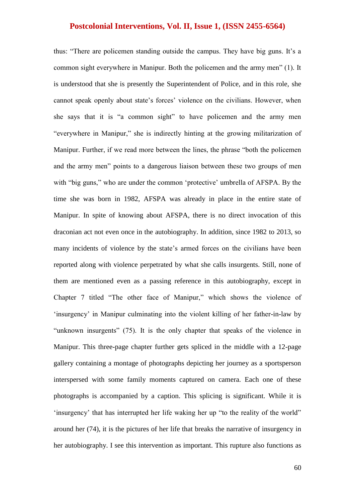thus: "There are policemen standing outside the campus. They have big guns. It's a common sight everywhere in Manipur. Both the policemen and the army men" (1). It is understood that she is presently the Superintendent of Police, and in this role, she cannot speak openly about state's forces' violence on the civilians. However, when she says that it is "a common sight" to have policemen and the army men "everywhere in Manipur," she is indirectly hinting at the growing militarization of Manipur. Further, if we read more between the lines, the phrase "both the policemen" and the army men" points to a dangerous liaison between these two groups of men with "big guns," who are under the common 'protective' umbrella of AFSPA. By the time she was born in 1982, AFSPA was already in place in the entire state of Manipur. In spite of knowing about AFSPA, there is no direct invocation of this draconian act not even once in the autobiography. In addition, since 1982 to 2013, so many incidents of violence by the state's armed forces on the civilians have been reported along with violence perpetrated by what she calls insurgents. Still, none of them are mentioned even as a passing reference in this autobiography, except in Chapter 7 titled "The other face of Manipur," which shows the violence of 'insurgency' in Manipur culminating into the violent killing of her father-in-law by "unknown insurgents" (75). It is the only chapter that speaks of the violence in Manipur. This three-page chapter further gets spliced in the middle with a 12-page gallery containing a montage of photographs depicting her journey as a sportsperson interspersed with some family moments captured on camera. Each one of these photographs is accompanied by a caption. This splicing is significant. While it is 'insurgency' that has interrupted her life waking her up "to the reality of the world" around her (74), it is the pictures of her life that breaks the narrative of insurgency in her autobiography. I see this intervention as important. This rupture also functions as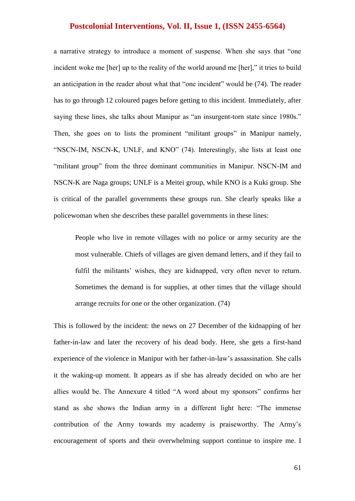a narrative strategy to introduce a moment of suspense. When she says that "one incident woke me [her] up to the reality of the world around me [her]," it tries to build an anticipation in the reader about what that "one incident" would be (74). The reader has to go through 12 coloured pages before getting to this incident. Immediately, after saying these lines, she talks about Manipur as "an insurgent-torn state since 1980s." Then, she goes on to lists the prominent "militant groups" in Manipur namely, "NSCN-IM, NSCN-K, UNLF, and KNO" (74). Interestingly, she lists at least one "militant group" from the three dominant communities in Manipur. NSCN-IM and NSCN-K are Naga groups; UNLF is a Meitei group, while KNO is a Kuki group. She is critical of the parallel governments these groups run. She clearly speaks like a policewoman when she describes these parallel governments in these lines:

People who live in remote villages with no police or army security are the most vulnerable. Chiefs of villages are given demand letters, and if they fail to fulfil the militants' wishes, they are kidnapped, very often never to return. Sometimes the demand is for supplies, at other times that the village should arrange recruits for one or the other organization. (74)

This is followed by the incident: the news on 27 December of the kidnapping of her father-in-law and later the recovery of his dead body. Here, she gets a first-hand experience of the violence in Manipur with her father-in-law's assassination. She calls it the waking-up moment. It appears as if she has already decided on who are her allies would be. The Annexure 4 titled "A word about my sponsors" confirms her stand as she shows the Indian army in a different light here: "The immense contribution of the Army towards my academy is praiseworthy. The Army's encouragement of sports and their overwhelming support continue to inspire me. I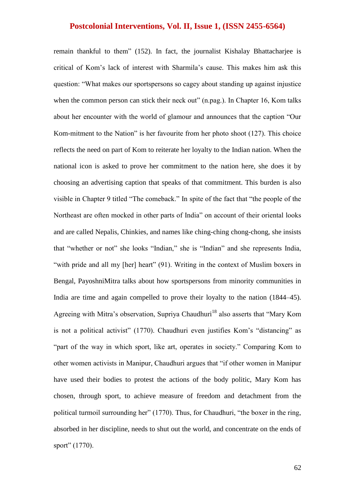remain thankful to them" (152). In fact, the journalist Kishalay Bhattacharjee is critical of Kom's lack of interest with Sharmila's cause. This makes him ask this question: "What makes our sportspersons so cagey about standing up against injustice when the common person can stick their neck out" (n.pag.). In Chapter 16, Kom talks about her encounter with the world of glamour and announces that the caption "Our Kom-mitment to the Nation" is her favourite from her photo shoot  $(127)$ . This choice reflects the need on part of Kom to reiterate her loyalty to the Indian nation. When the national icon is asked to prove her commitment to the nation here, she does it by choosing an advertising caption that speaks of that commitment. This burden is also visible in Chapter 9 titled "The comeback." In spite of the fact that "the people of the Northeast are often mocked in other parts of India" on account of their oriental looks and are called Nepalis, Chinkies, and names like ching-ching chong-chong, she insists that "whether or not" she looks "Indian," she is "Indian" and she represents India, "with pride and all my [her] heart" (91). Writing in the context of Muslim boxers in Bengal, PayoshniMitra talks about how sportspersons from minority communities in India are time and again compelled to prove their loyalty to the nation (1844–45). Agreeing with Mitra's observation, Supriya Chaudhuri<sup>18</sup> also asserts that "Mary Kom is not a political activist" (1770). Chaudhuri even justifies Kom's "distancing" as "part of the way in which sport, like art, operates in society." Comparing Kom to other women activists in Manipur, Chaudhuri argues that "if other women in Manipur have used their bodies to protest the actions of the body politic, Mary Kom has chosen, through sport, to achieve measure of freedom and detachment from the political turmoil surrounding her" (1770). Thus, for Chaudhuri, "the boxer in the ring, absorbed in her discipline, needs to shut out the world, and concentrate on the ends of sport" (1770).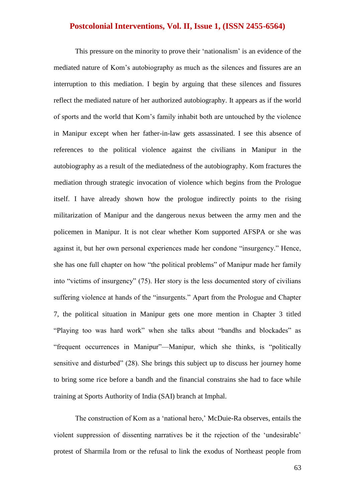This pressure on the minority to prove their 'nationalism' is an evidence of the mediated nature of Kom's autobiography as much as the silences and fissures are an interruption to this mediation. I begin by arguing that these silences and fissures reflect the mediated nature of her authorized autobiography. It appears as if the world of sports and the world that Kom's family inhabit both are untouched by the violence in Manipur except when her father-in-law gets assassinated. I see this absence of references to the political violence against the civilians in Manipur in the autobiography as a result of the mediatedness of the autobiography. Kom fractures the mediation through strategic invocation of violence which begins from the Prologue itself. I have already shown how the prologue indirectly points to the rising militarization of Manipur and the dangerous nexus between the army men and the policemen in Manipur. It is not clear whether Kom supported AFSPA or she was against it, but her own personal experiences made her condone "insurgency." Hence, she has one full chapter on how "the political problems" of Manipur made her family into "victims of insurgency" (75). Her story is the less documented story of civilians suffering violence at hands of the "insurgents." Apart from the Prologue and Chapter 7, the political situation in Manipur gets one more mention in Chapter 3 titled "Playing too was hard work" when she talks about "bandhs and blockades" as "frequent occurrences in Manipur"—Manipur, which she thinks, is "politically sensitive and disturbed" (28). She brings this subject up to discuss her journey home to bring some rice before a bandh and the financial constrains she had to face while training at Sports Authority of India (SAI) branch at Imphal.

The construction of Kom as a 'national hero,' McDuie-Ra observes, entails the violent suppression of dissenting narratives be it the rejection of the 'undesirable' protest of Sharmila Irom or the refusal to link the exodus of Northeast people from

63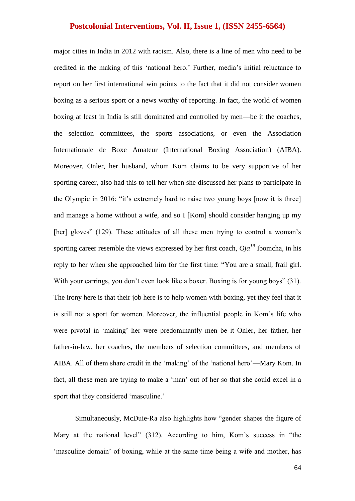major cities in India in 2012 with racism. Also, there is a line of men who need to be credited in the making of this 'national hero.' Further, media's initial reluctance to report on her first international win points to the fact that it did not consider women boxing as a serious sport or a news worthy of reporting. In fact, the world of women boxing at least in India is still dominated and controlled by men—be it the coaches, the selection committees, the sports associations, or even the Association Internationale de Boxe Amateur (International Boxing Association) (AIBA). Moreover, Onler, her husband, whom Kom claims to be very supportive of her sporting career, also had this to tell her when she discussed her plans to participate in the Olympic in 2016: "it's extremely hard to raise two young boys [now it is three] and manage a home without a wife, and so I [Kom] should consider hanging up my [her] gloves" (129). These attitudes of all these men trying to control a woman's sporting career resemble the views expressed by her first coach,  $Oja<sup>19</sup>$  Ibomcha, in his reply to her when she approached him for the first time: "You are a small, frail girl. With your earrings, you don't even look like a boxer. Boxing is for young boys" (31). The irony here is that their job here is to help women with boxing, yet they feel that it is still not a sport for women. Moreover, the influential people in Kom's life who were pivotal in 'making' her were predominantly men be it Onler, her father, her father-in-law, her coaches, the members of selection committees, and members of AIBA. All of them share credit in the 'making' of the 'national hero'—Mary Kom. In fact, all these men are trying to make a 'man' out of her so that she could excel in a sport that they considered 'masculine.'

Simultaneously, McDuie-Ra also highlights how "gender shapes the figure of Mary at the national level"  $(312)$ . According to him, Kom's success in "the ‗masculine domain' of boxing, while at the same time being a wife and mother, has

64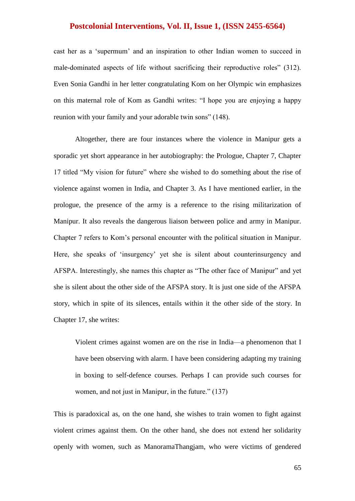cast her as a 'supermum' and an inspiration to other Indian women to succeed in male-dominated aspects of life without sacrificing their reproductive roles" (312). Even Sonia Gandhi in her letter congratulating Kom on her Olympic win emphasizes on this maternal role of Kom as Gandhi writes: "I hope you are enjoying a happy reunion with your family and your adorable twin sons" (148).

Altogether, there are four instances where the violence in Manipur gets a sporadic yet short appearance in her autobiography: the Prologue, Chapter 7, Chapter 17 titled "My vision for future" where she wished to do something about the rise of violence against women in India, and Chapter 3. As I have mentioned earlier, in the prologue, the presence of the army is a reference to the rising militarization of Manipur. It also reveals the dangerous liaison between police and army in Manipur. Chapter 7 refers to Kom's personal encounter with the political situation in Manipur. Here, she speaks of 'insurgency' yet she is silent about counterinsurgency and AFSPA. Interestingly, she names this chapter as "The other face of Manipur" and yet she is silent about the other side of the AFSPA story. It is just one side of the AFSPA story, which in spite of its silences, entails within it the other side of the story. In Chapter 17, she writes:

Violent crimes against women are on the rise in India—a phenomenon that I have been observing with alarm. I have been considering adapting my training in boxing to self-defence courses. Perhaps I can provide such courses for women, and not just in Manipur, in the future." (137)

This is paradoxical as, on the one hand, she wishes to train women to fight against violent crimes against them. On the other hand, she does not extend her solidarity openly with women, such as ManoramaThangjam, who were victims of gendered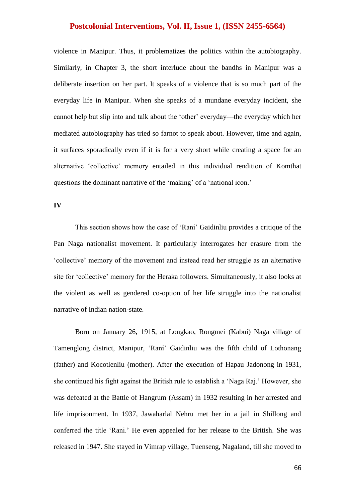violence in Manipur. Thus, it problematizes the politics within the autobiography. Similarly, in Chapter 3, the short interlude about the bandhs in Manipur was a deliberate insertion on her part. It speaks of a violence that is so much part of the everyday life in Manipur. When she speaks of a mundane everyday incident, she cannot help but slip into and talk about the 'other' everyday—the everyday which her mediated autobiography has tried so farnot to speak about. However, time and again, it surfaces sporadically even if it is for a very short while creating a space for an alternative 'collective' memory entailed in this individual rendition of Komthat questions the dominant narrative of the 'making' of a 'national icon.'

#### **IV**

This section shows how the case of 'Rani' Gaidinliu provides a critique of the Pan Naga nationalist movement. It particularly interrogates her erasure from the ‗collective' memory of the movement and instead read her struggle as an alternative site for 'collective' memory for the Heraka followers. Simultaneously, it also looks at the violent as well as gendered co-option of her life struggle into the nationalist narrative of Indian nation-state.

Born on January 26, 1915, at Longkao, Rongmei (Kabui) Naga village of Tamenglong district, Manipur, 'Rani' Gaidinliu was the fifth child of Lothonang (father) and Kocotlenliu (mother). After the execution of Hapau Jadonong in 1931, she continued his fight against the British rule to establish a 'Naga Raj.' However, she was defeated at the Battle of Hangrum (Assam) in 1932 resulting in her arrested and life imprisonment. In 1937, Jawaharlal Nehru met her in a jail in Shillong and conferred the title 'Rani.' He even appealed for her release to the British. She was released in 1947. She stayed in Vimrap village, Tuenseng, Nagaland, till she moved to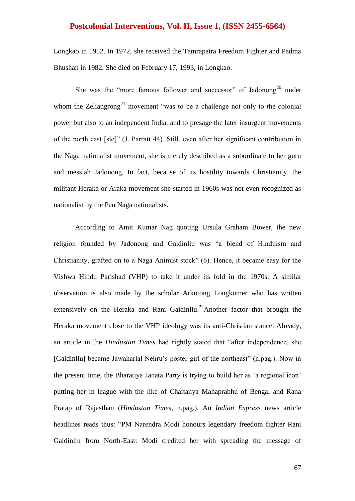Longkao in 1952. In 1972, she received the Tamrapatra Freedom Fighter and Padma Bhushan in 1982. She died on February 17, 1993, in Longkao.

She was the "more famous follower and successor" of Jadonong<sup>20</sup> under whom the Zeliangrong<sup>21</sup> movement "was to be a challenge not only to the colonial power but also to an independent India, and to presage the later insurgent movements of the north east [sic]" (J. Parratt 44). Still, even after her significant contribution in the Naga nationalist movement, she is merely described as a subordinate to her guru and messiah Jadonong. In fact, because of its hostility towards Christianity, the militant Heraka or Araka movement she started in 1960s was not even recognized as nationalist by the Pan Naga nationalists.

According to Amit Kumar Nag quoting Ursula Graham Bower, the new religion founded by Jadonong and Gaidinliu was "a blend of Hinduism and Christianity, grafted on to a Naga Animist stock" (6). Hence, it became easy for the Vishwa Hindu Parishad (VHP) to take it under its fold in the 1970s. A similar observation is also made by the scholar Arkotong Longkumer who has written extensively on the Heraka and Rani Gaidinliu.<sup>22</sup>Another factor that brought the Heraka movement close to the VHP ideology was its anti-Christian stance. Already, an article in the *Hindustan Times* had rightly stated that "after independence, she [Gaidinliu] became Jawaharlal Nehru's poster girl of the northeast" (n.pag.). Now in the present time, the Bharatiya Janata Party is trying to build her as 'a regional icon' putting her in league with the like of Chaitanya Mahaprabhu of Bengal and Rana Pratap of Rajasthan (*Hindustan Times*, n.pag.). An *Indian Express* news article headlines reads thus: "PM Narendra Modi honours legendary freedom fighter Rani Gaidinliu from North-East: Modi credited her with spreading the message of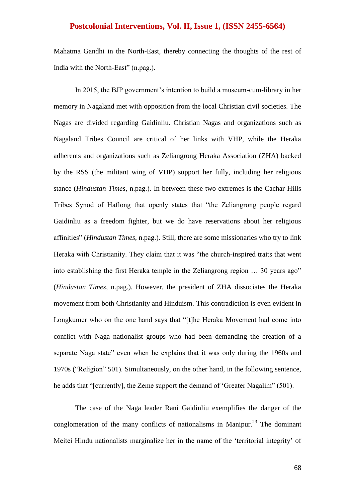Mahatma Gandhi in the North-East, thereby connecting the thoughts of the rest of India with the North-East" (n.pag.).

In 2015, the BJP government's intention to build a museum-cum-library in her memory in Nagaland met with opposition from the local Christian civil societies. The Nagas are divided regarding Gaidinliu. Christian Nagas and organizations such as Nagaland Tribes Council are critical of her links with VHP, while the Heraka adherents and organizations such as Zeliangrong Heraka Association (ZHA) backed by the RSS (the militant wing of VHP) support her fully, including her religious stance (*Hindustan Times*, n.pag.). In between these two extremes is the Cachar Hills Tribes Synod of Haflong that openly states that "the Zeliangrong people regard Gaidinliu as a freedom fighter, but we do have reservations about her religious affinities‖ (*Hindustan Times*, n.pag.). Still, there are some missionaries who try to link Heraka with Christianity. They claim that it was "the church-inspired traits that went into establishing the first Heraka temple in the Zeliangrong region  $\ldots$  30 years ago" (*Hindustan Times*, n.pag.). However, the president of ZHA dissociates the Heraka movement from both Christianity and Hinduism. This contradiction is even evident in Longkumer who on the one hand says that "[t]he Heraka Movement had come into conflict with Naga nationalist groups who had been demanding the creation of a separate Naga state" even when he explains that it was only during the 1960s and 1970s ("Religion" 501). Simultaneously, on the other hand, in the following sentence, he adds that "[currently], the Zeme support the demand of 'Greater Nagalim" (501).

The case of the Naga leader Rani Gaidinliu exemplifies the danger of the conglomeration of the many conflicts of nationalisms in Manipur.<sup>23</sup> The dominant Meitei Hindu nationalists marginalize her in the name of the 'territorial integrity' of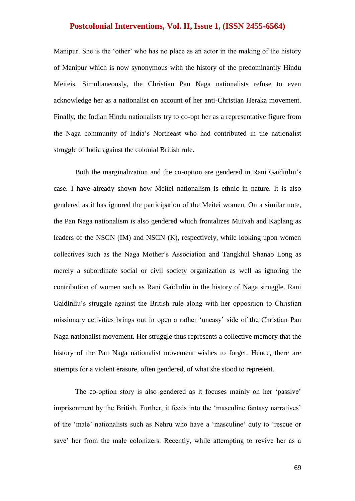Manipur. She is the 'other' who has no place as an actor in the making of the history of Manipur which is now synonymous with the history of the predominantly Hindu Meiteis. Simultaneously, the Christian Pan Naga nationalists refuse to even acknowledge her as a nationalist on account of her anti-Christian Heraka movement. Finally, the Indian Hindu nationalists try to co-opt her as a representative figure from the Naga community of India's Northeast who had contributed in the nationalist struggle of India against the colonial British rule.

Both the marginalization and the co-option are gendered in Rani Gaidinliu's case. I have already shown how Meitei nationalism is ethnic in nature. It is also gendered as it has ignored the participation of the Meitei women. On a similar note, the Pan Naga nationalism is also gendered which frontalizes Muivah and Kaplang as leaders of the NSCN (IM) and NSCN (K), respectively, while looking upon women collectives such as the Naga Mother's Association and Tangkhul Shanao Long as merely a subordinate social or civil society organization as well as ignoring the contribution of women such as Rani Gaidinliu in the history of Naga struggle. Rani Gaidinliu's struggle against the British rule along with her opposition to Christian missionary activities brings out in open a rather 'uneasy' side of the Christian Pan Naga nationalist movement. Her struggle thus represents a collective memory that the history of the Pan Naga nationalist movement wishes to forget. Hence, there are attempts for a violent erasure, often gendered, of what she stood to represent.

The co-option story is also gendered as it focuses mainly on her 'passive' imprisonment by the British. Further, it feeds into the 'masculine fantasy narratives' of the 'male' nationalists such as Nehru who have a 'masculine' duty to 'rescue or save' her from the male colonizers. Recently, while attempting to revive her as a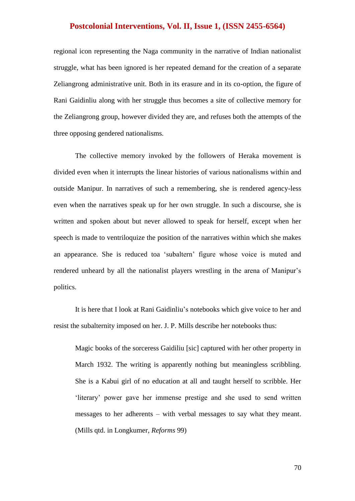regional icon representing the Naga community in the narrative of Indian nationalist struggle, what has been ignored is her repeated demand for the creation of a separate Zeliangrong administrative unit. Both in its erasure and in its co-option, the figure of Rani Gaidinliu along with her struggle thus becomes a site of collective memory for the Zeliangrong group, however divided they are, and refuses both the attempts of the three opposing gendered nationalisms.

The collective memory invoked by the followers of Heraka movement is divided even when it interrupts the linear histories of various nationalisms within and outside Manipur. In narratives of such a remembering, she is rendered agency-less even when the narratives speak up for her own struggle. In such a discourse, she is written and spoken about but never allowed to speak for herself, except when her speech is made to ventriloquize the position of the narratives within which she makes an appearance. She is reduced toa 'subaltern' figure whose voice is muted and rendered unheard by all the nationalist players wrestling in the arena of Manipur's politics.

It is here that I look at Rani Gaidinliu's notebooks which give voice to her and resist the subalternity imposed on her. J. P. Mills describe her notebooks thus:

Magic books of the sorceress Gaidiliu [sic] captured with her other property in March 1932. The writing is apparently nothing but meaningless scribbling. She is a Kabui girl of no education at all and taught herself to scribble. Her ‗literary' power gave her immense prestige and she used to send written messages to her adherents – with verbal messages to say what they meant. (Mills qtd. in Longkumer, *Reforms* 99)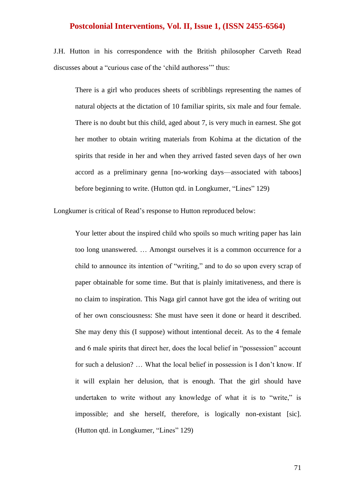J.H. Hutton in his correspondence with the British philosopher Carveth Read discusses about a "curious case of the 'child authoress'" thus:

There is a girl who produces sheets of scribblings representing the names of natural objects at the dictation of 10 familiar spirits, six male and four female. There is no doubt but this child, aged about 7, is very much in earnest. She got her mother to obtain writing materials from Kohima at the dictation of the spirits that reside in her and when they arrived fasted seven days of her own accord as a preliminary genna [no-working days—associated with taboos] before beginning to write. (Hutton qtd. in Longkumer, "Lines" 129)

Longkumer is critical of Read's response to Hutton reproduced below:

Your letter about the inspired child who spoils so much writing paper has lain too long unanswered. … Amongst ourselves it is a common occurrence for a child to announce its intention of "writing," and to do so upon every scrap of paper obtainable for some time. But that is plainly imitativeness, and there is no claim to inspiration. This Naga girl cannot have got the idea of writing out of her own consciousness: She must have seen it done or heard it described. She may deny this (I suppose) without intentional deceit. As to the 4 female and 6 male spirits that direct her, does the local belief in "possession" account for such a delusion? … What the local belief in possession is I don't know. If it will explain her delusion, that is enough. That the girl should have undertaken to write without any knowledge of what it is to "write," is impossible; and she herself, therefore, is logically non-existant [sic]. (Hutton qtd. in Longkumer, "Lines" 129)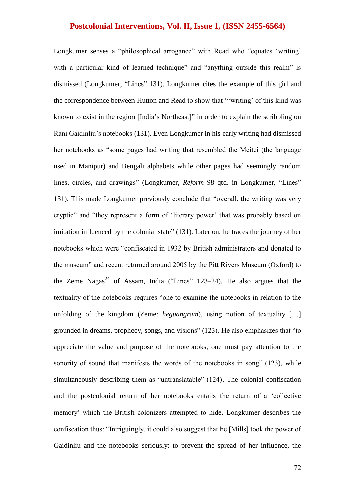Longkumer senses a "philosophical arrogance" with Read who "equates 'writing' with a particular kind of learned technique" and "anything outside this realm" is dismissed (Longkumer, "Lines" 131). Longkumer cites the example of this girl and the correspondence between Hutton and Read to show that "'writing' of this kind was known to exist in the region [India's Northeast]" in order to explain the scribbling on Rani Gaidinliu's notebooks (131). Even Longkumer in his early writing had dismissed her notebooks as "some pages had writing that resembled the Meitei (the language used in Manipur) and Bengali alphabets while other pages had seemingly random lines, circles, and drawings" (Longkumer, *Reform* 98 qtd. in Longkumer, "Lines" 131). This made Longkumer previously conclude that "overall, the writing was very cryptic" and "they represent a form of 'literary power' that was probably based on imitation influenced by the colonial state" (131). Later on, he traces the journey of her notebooks which were "confiscated in 1932 by British administrators and donated to the museum" and recent returned around 2005 by the Pitt Rivers Museum (Oxford) to the Zeme Nagas<sup>24</sup> of Assam, India ("Lines" 123–24). He also argues that the textuality of the notebooks requires "one to examine the notebooks in relation to the unfolding of the kingdom (Zeme: *heguangram*), using notion of textuality […] grounded in dreams, prophecy, songs, and visions" (123). He also emphasizes that "to appreciate the value and purpose of the notebooks, one must pay attention to the sonority of sound that manifests the words of the notebooks in song"  $(123)$ , while simultaneously describing them as "untranslatable"  $(124)$ . The colonial confiscation and the postcolonial return of her notebooks entails the return of a 'collective memory' which the British colonizers attempted to hide. Longkumer describes the confiscation thus: "Intriguingly, it could also suggest that he [Mills] took the power of Gaidinliu and the notebooks seriously: to prevent the spread of her influence, the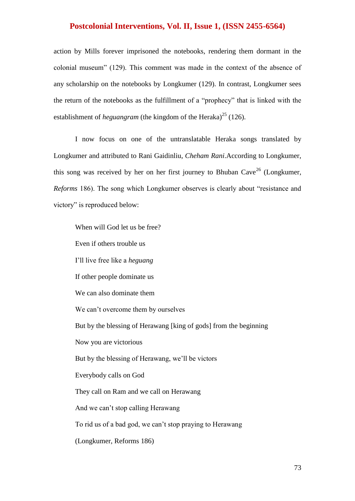action by Mills forever imprisoned the notebooks, rendering them dormant in the colonial museum" (129). This comment was made in the context of the absence of any scholarship on the notebooks by Longkumer (129). In contrast, Longkumer sees the return of the notebooks as the fulfillment of a "prophecy" that is linked with the establishment of *heguangram* (the kingdom of the Heraka)<sup>25</sup> (126).

I now focus on one of the untranslatable Heraka songs translated by Longkumer and attributed to Rani Gaidinliu, *Cheham Rani*.According to Longkumer, this song was received by her on her first journey to Bhuban Cave<sup>26</sup> (Longkumer, *Reforms* 186). The song which Longkumer observes is clearly about "resistance and victory" is reproduced below:

When will God let us be free? Even if others trouble us I'll live free like a *heguang* If other people dominate us We can also dominate them We can't overcome them by ourselves But by the blessing of Herawang [king of gods] from the beginning Now you are victorious But by the blessing of Herawang, we'll be victors Everybody calls on God They call on Ram and we call on Herawang And we can't stop calling Herawang To rid us of a bad god, we can't stop praying to Herawang (Longkumer, Reforms 186)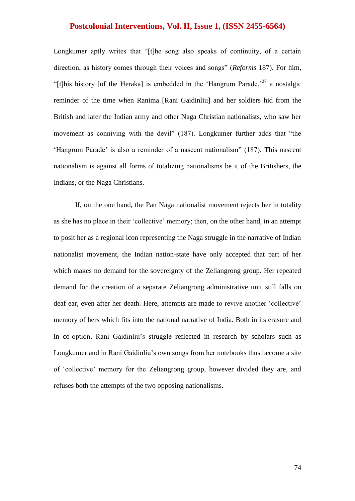Longkumer aptly writes that "[t]he song also speaks of continuity, of a certain direction, as history comes through their voices and songs" (*Reforms* 187). For him, "[t]his history [of the Heraka] is embedded in the 'Hangrum Parade,<sup>27</sup> a nostalgic reminder of the time when Ranima [Rani Gaidinliu] and her soldiers hid from the British and later the Indian army and other Naga Christian nationalists, who saw her movement as conniving with the devil" (187). Longkumer further adds that "the ‗Hangrum Parade' is also a reminder of a nascent nationalism‖ (187). This nascent nationalism is against all forms of totalizing nationalisms be it of the Britishers, the Indians, or the Naga Christians.

If, on the one hand, the Pan Naga nationalist movement rejects her in totality as she has no place in their ‗collective' memory; then, on the other hand, in an attempt to posit her as a regional icon representing the Naga struggle in the narrative of Indian nationalist movement, the Indian nation-state have only accepted that part of her which makes no demand for the sovereignty of the Zeliangrong group. Her repeated demand for the creation of a separate Zeliangrong administrative unit still falls on deaf ear, even after her death. Here, attempts are made to revive another 'collective' memory of hers which fits into the national narrative of India. Both in its erasure and in co-option, Rani Gaidinliu's struggle reflected in research by scholars such as Longkumer and in Rani Gaidinliu's own songs from her notebooks thus become a site of ‗collective' memory for the Zeliangrong group, however divided they are, and refuses both the attempts of the two opposing nationalisms.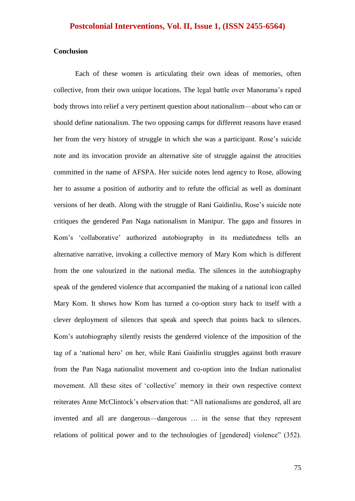#### **Conclusion**

Each of these women is articulating their own ideas of memories, often collective, from their own unique locations. The legal battle over Manorama's raped body throws into relief a very pertinent question about nationalism—about who can or should define nationalism. The two opposing camps for different reasons have erased her from the very history of struggle in which she was a participant. Rose's suicide note and its invocation provide an alternative site of struggle against the atrocities committed in the name of AFSPA. Her suicide notes lend agency to Rose, allowing her to assume a position of authority and to refute the official as well as dominant versions of her death. Along with the struggle of Rani Gaidinliu, Rose's suicide note critiques the gendered Pan Naga nationalism in Manipur. The gaps and fissures in Kom's 'collaborative' authorized autobiography in its mediatedness tells an alternative narrative, invoking a collective memory of Mary Kom which is different from the one valourized in the national media. The silences in the autobiography speak of the gendered violence that accompanied the making of a national icon called Mary Kom. It shows how Kom has turned a co-option story back to itself with a clever deployment of silences that speak and speech that points back to silences. Kom's autobiography silently resists the gendered violence of the imposition of the tag of a 'national hero' on her, while Rani Gaidinliu struggles against both erasure from the Pan Naga nationalist movement and co-option into the Indian nationalist movement. All these sites of 'collective' memory in their own respective context reiterates Anne McClintock's observation that: "All nationalisms are gendered, all are invented and all are dangerous—dangerous … in the sense that they represent relations of political power and to the technologies of [gendered] violence" (352).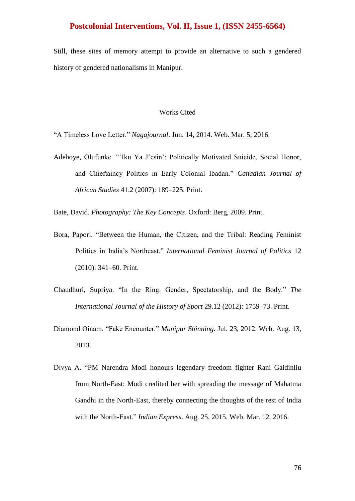Still, these sites of memory attempt to provide an alternative to such a gendered history of gendered nationalisms in Manipur.

#### Works Cited

―A Timeless Love Letter.‖ *Nagajournal*. Jun. 14, 2014. Web. Mar. 5, 2016.

Adeboye, Olufunke. "'Iku Ya J'esin': Politically Motivated Suicide, Social Honor, and Chieftaincy Politics in Early Colonial Ibadan." *Canadian Journal of African Studies* 41.2 (2007): 189–225. Print.

Bate, David. *Photography: The Key Concepts*. Oxford: Berg, 2009. Print.

- Bora, Papori. "Between the Human, the Citizen, and the Tribal: Reading Feminist Politics in India's Northeast.‖ *International Feminist Journal of Politics* 12 (2010): 341–60. Print.
- Chaudhuri, Supriya. "In the Ring: Gender, Spectatorship, and the Body." *The International Journal of the History of Sport* 29.12 (2012): 1759–73. Print.
- Diamond Oinam. "Fake Encounter." *Manipur Shinning*. Jul. 23, 2012. Web. Aug. 13, 2013.
- Divya A. "PM Narendra Modi honours legendary freedom fighter Rani Gaidinliu from North-East: Modi credited her with spreading the message of Mahatma Gandhi in the North-East, thereby connecting the thoughts of the rest of India with the North-East." *Indian Express*. Aug. 25, 2015. Web. Mar. 12, 2016.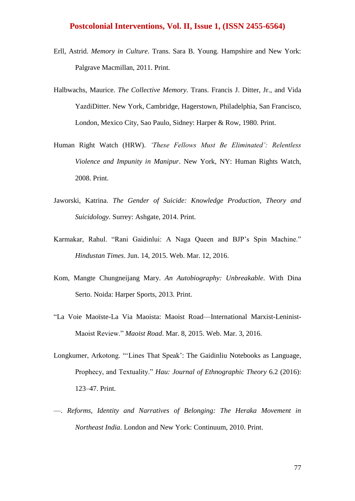- Erll, Astrid. *Memory in Culture*. Trans. Sara B. Young. Hampshire and New York: Palgrave Macmillan, 2011. Print.
- Halbwachs, Maurice. *The Collective Memory*. Trans. Francis J. Ditter, Jr., and Vida YazdiDitter. New York, Cambridge, Hagerstown, Philadelphia, San Francisco, London, Mexico City, Sao Paulo, Sidney: Harper & Row, 1980. Print.
- Human Right Watch (HRW). *'These Fellows Must Be Eliminated': Relentless Violence and Impunity in Manipur*. New York, NY: Human Rights Watch, 2008. Print.
- Jaworski, Katrina. *The Gender of Suicide: Knowledge Production, Theory and Suicidology*. Surrey: Ashgate, 2014. Print.
- Karmakar, Rahul. "Rani Gaidinlui: A Naga Oueen and BJP's Spin Machine." *Hindustan Times*. Jun. 14, 2015. Web. Mar. 12, 2016.
- Kom, Mangte Chungneijang Mary. *An Autobiography: Unbreakable*. With Dina Serto. Noida: Harper Sports, 2013. Print.
- ―La Voie Maoïste-La Via Maoista: Maoist Road—International Marxist-Leninist-Maoist Review.‖ *Maoist Road*. Mar. 8, 2015. Web. Mar. 3, 2016.
- Longkumer, Arkotong. "'Lines That Speak': The Gaidinliu Notebooks as Language, Prophecy, and Textuality." *Hau: Journal of Ethnographic Theory* 6.2 (2016): 123–47. Print.
- —. *Reforms, Identity and Narratives of Belonging: The Heraka Movement in Northeast India*. London and New York: Continuum, 2010. Print.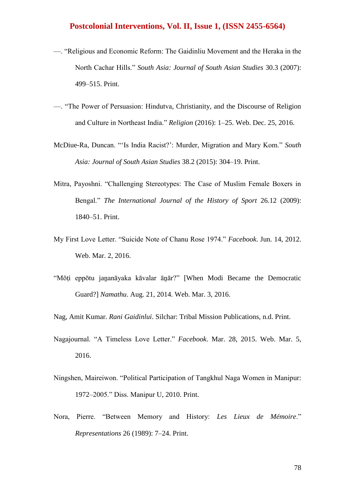- —. ―Religious and Economic Reform: The Gaidinliu Movement and the Heraka in the North Cachar Hills." South Asia: Journal of South Asian Studies 30.3 (2007): 499–515. Print.
- —. ―The Power of Persuasion: Hindutva, Christianity, and the Discourse of Religion and Culture in Northeast India." *Religion* (2016): 1-25. Web. Dec. 25, 2016.
- McDiue-Ra, Duncan. "'Is India Racist?': Murder, Migration and Mary Kom." South *Asia: Journal of South Asian Studies* 38.2 (2015): 304–19. Print.
- Mitra, Payoshni. "Challenging Stereotypes: The Case of Muslim Female Boxers in Bengal." *The International Journal of the History of Sport* 26.12 (2009): 1840–51. Print.
- My First Love Letter. ―Suicide Note of Chanu Rose 1974.‖ *Facebook*. Jun. 14, 2012. Web. Mar. 2, 2016.
- "Mōti eppōtu jananāyaka kāvalar ānār?" [When Modi Became the Democratic Guard?] *Namathu*. Aug. 21, 2014. Web. Mar. 3, 2016.

Nag, Amit Kumar. *Rani Gaidinlui*. Silchar: Tribal Mission Publications, n.d. Print.

- Nagajournal. "A Timeless Love Letter." *Facebook*. Mar. 28, 2015. Web. Mar. 5, 2016.
- Ningshen, Maireiwon. "Political Participation of Tangkhul Naga Women in Manipur: 1972–2005." Diss. Manipur U, 2010. Print.
- Nora, Pierre. "Between Memory and History: Les Lieux de Mémoire." *Representations* 26 (1989): 7–24. Print.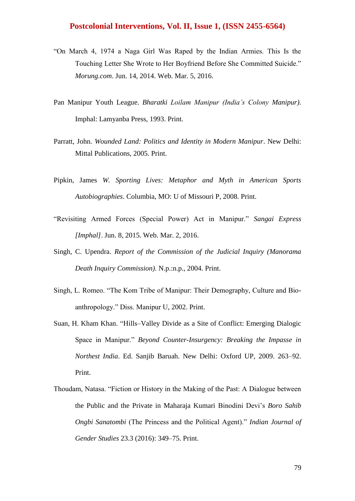- ―On March 4, 1974 a Naga Girl Was Raped by the Indian Armies. This Is the Touching Letter She Wrote to Her Boyfriend Before She Committed Suicide." *Morung.com*. Jun. 14, 2014. Web. Mar. 5, 2016.
- Pan Manipur Youth League. *Bharatki Loilam Manipur (India's Colony Manipur)*. Imphal: Lamyanba Press, 1993. Print.
- Parratt, John. *Wounded Land: Politics and Identity in Modern Manipur*. New Delhi: Mittal Publications, 2005. Print.
- Pipkin, James *W. Sporting Lives: Metaphor and Myth in American Sports Autobiographies*. Columbia, MO: U of Missouri P, 2008. Print.
- ―Revisiting Armed Forces (Special Power) Act in Manipur.‖ *Sangai Express [Imphal]*. Jun. 8, 2015. Web. Mar. 2, 2016.
- Singh, C. Upendra. *Report of the Commission of the Judicial Inquiry (Manorama Death Inquiry Commission)*. N.p.:n.p., 2004. Print.
- Singh, L. Romeo. "The Kom Tribe of Manipur: Their Demography, Culture and Bioanthropology." Diss. Manipur U, 2002. Print.
- Suan, H. Kham Khan. "Hills–Valley Divide as a Site of Conflict: Emerging Dialogic Space in Manipur." *Beyond Counter-Insurgency: Breaking the Impasse in Northest India*. Ed. Sanjib Baruah. New Delhi: Oxford UP, 2009. 263–92. Print.
- Thoudam, Natasa. "Fiction or History in the Making of the Past: A Dialogue between the Public and the Private in Maharaja Kumari Binodini Devi's *Boro Sahib Ongbi Sanatombi* (The Princess and the Political Agent)." *Indian Journal of Gender Studies* 23.3 (2016): 349–75. Print.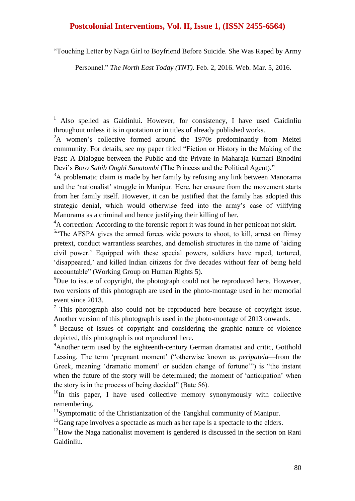―Touching Letter by Naga Girl to Boyfriend Before Suicide. She Was Raped by Army

Personnel." *The North East Today (TNT)*. Feb. 2, 2016. Web. Mar. 5, 2016.

1

<sup>4</sup>A correction: According to the forensic report it was found in her petticoat not skirt.

<sup>11</sup>Symptomatic of the Christianization of the Tangkhul community of Manipur.

 $12$ <sup>12</sup>Gang rape involves a spectacle as much as her rape is a spectacle to the elders.

 $13$ How the Naga nationalist movement is gendered is discussed in the section on Rani Gaidinliu.

<sup>1</sup> Also spelled as Gaidinlui. However, for consistency, I have used Gaidinliu throughout unless it is in quotation or in titles of already published works.

<sup>&</sup>lt;sup>2</sup>A women's collective formed around the 1970s predominantly from Meitei community. For details, see my paper titled "Fiction or History in the Making of the Past: A Dialogue between the Public and the Private in Maharaja Kumari Binodini Devi's *Boro Sahib Ongbi Sanatombi* (The Princess and the Political Agent)."

<sup>&</sup>lt;sup>3</sup>A problematic claim is made by her family by refusing any link between Manorama and the 'nationalist' struggle in Manipur. Here, her erasure from the movement starts from her family itself. However, it can be justified that the family has adopted this strategic denial, which would otherwise feed into the army's case of vilifying Manorama as a criminal and hence justifying their killing of her.

<sup>&</sup>lt;sup>5</sup>"The AFSPA gives the armed forces wide powers to shoot, to kill, arrest on flimsy pretext, conduct warrantless searches, and demolish structures in the name of 'aiding civil power.' Equipped with these special powers, soldiers have raped, tortured, 'disappeared,' and killed Indian citizens for five decades without fear of being held accountable" (Working Group on Human Rights 5).

 ${}^{6}$ Due to issue of copyright, the photograph could not be reproduced here. However, two versions of this photograph are used in the photo-montage used in her memorial event since 2013.

 $\frac{7}{7}$  This photograph also could not be reproduced here because of copyright issue. Another version of this photograph is used in the photo-montage of 2013 onwards.

<sup>&</sup>lt;sup>8</sup> Because of issues of copyright and considering the graphic nature of violence depicted, this photograph is not reproduced here.

<sup>&</sup>lt;sup>9</sup>Another term used by the eighteenth-century German dramatist and critic, Gotthold Lessing. The term 'pregnant moment' ("otherwise known as *peripateia*—from the Greek, meaning 'dramatic moment' or sudden change of fortune'") is "the instant when the future of the story will be determined; the moment of 'anticipation' when the story is in the process of being decided" (Bate 56).

 $10$ In this paper, I have used collective memory synonymously with collective remembering.